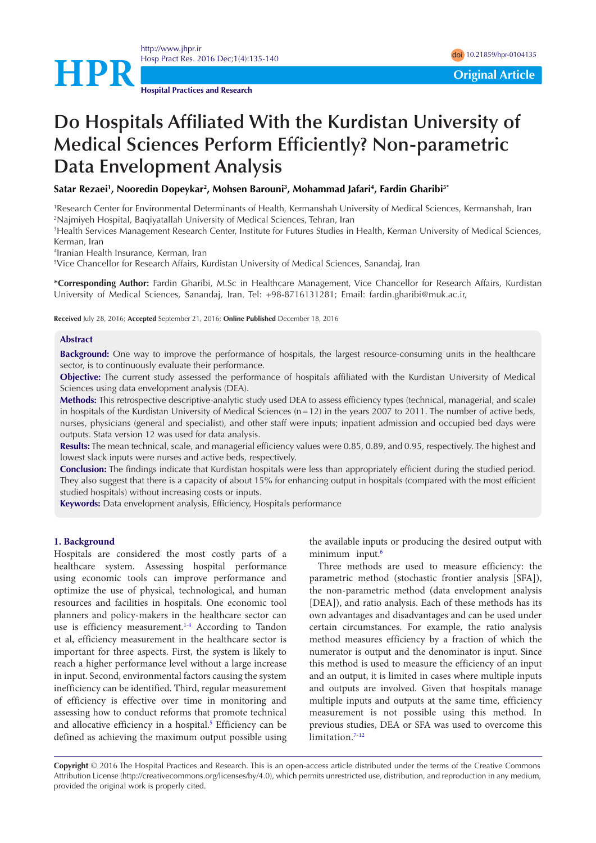



**Hospital Practices and Research**

# **Do Hospitals Affiliated With the Kurdistan University of Medical Sciences Perform Efficiently? Non-parametric Data Envelopment Analysis**

**Satar Rezaei<sup>1</sup> , Nooredin Dopeykar<sup>2</sup> , Mohsen Barouni<sup>3</sup> , Mohammad Jafari<sup>4</sup> , Fardin Gharibi5\***

<sup>1</sup>Research Center for Environmental Determinants of Health, Kermanshah University of Medical Sciences, Kermanshah, Iran <sup>2</sup>Najmiyeh Hospital, Baqiyatallah University of Medical Sciences, Tehran, Iran

<sup>3</sup>Health Services Management Research Center, Institute for Futures Studies in Health, Kerman University of Medical Sciences, Kerman, Iran

4 Iranian Health Insurance, Kerman, Iran

<sup>5</sup>Vice Chancellor for Research Affairs, Kurdistan University of Medical Sciences, Sanandaj, Iran

**\*Corresponding Author:** Fardin Gharibi, M.Sc in Healthcare Management, Vice Chancellor for Research Affairs, Kurdistan University of Medical Sciences, Sanandaj, Iran. Tel: +98-8716131281; Email: fardin.gharibi@muk.ac.ir,

**Received** July 28, 2016; **Accepted** September 21, 2016; **Online Published** December 18, 2016

#### **Abstract**

**Background:** One way to improve the performance of hospitals, the largest resource-consuming units in the healthcare sector, is to continuously evaluate their performance.

**Objective:** The current study assessed the performance of hospitals affiliated with the Kurdistan University of Medical Sciences using data envelopment analysis (DEA).

**Methods:** This retrospective descriptive-analytic study used DEA to assess efficiency types (technical, managerial, and scale) in hospitals of the Kurdistan University of Medical Sciences (n=12) in the years 2007 to 2011. The number of active beds, nurses, physicians (general and specialist), and other staff were inputs; inpatient admission and occupied bed days were outputs. Stata version 12 was used for data analysis.

**Results:** The mean technical, scale, and managerial efficiency values were 0.85, 0.89, and 0.95, respectively. The highest and lowest slack inputs were nurses and active beds, respectively.

**Conclusion:** The findings indicate that Kurdistan hospitals were less than appropriately efficient during the studied period. They also suggest that there is a capacity of about 15% for enhancing output in hospitals (compared with the most efficient studied hospitals) without increasing costs or inputs.

**Keywords:** Data envelopment analysis, Efficiency, Hospitals performance

#### **1. Background**

Hospitals are considered the most costly parts of a healthcare system. Assessing hospital performance using economic tools can improve performance and optimize the use of physical, technological, and human resources and facilities in hospitals. One economic tool planners and policy-makers in the healthcare sector can use is efficiency measurement.<sup>1[-4](#page-4-1)</sup> According to Tandon et al, efficiency measurement in the healthcare sector is important for three aspects. First, the system is likely to reach a higher performance level without a large increase in input. Second, environmental factors causing the system inefficiency can be identified. Third, regular measurement of efficiency is effective over time in monitoring and assessing how to conduct reforms that promote technical and allocative efficiency in a hospital.<sup>5</sup> Efficiency can be defined as achieving the maximum output possible using the available inputs or producing the desired output with minimum input.<sup>[6](#page-4-3)</sup>

Three methods are used to measure efficiency: the parametric method (stochastic frontier analysis [SFA]), the non-parametric method (data envelopment analysis [DEA]), and ratio analysis. Each of these methods has its own advantages and disadvantages and can be used under certain circumstances. For example, the ratio analysis method measures efficiency by a fraction of which the numerator is output and the denominator is input. Since this method is used to measure the efficiency of an input and an output, it is limited in cases where multiple inputs and outputs are involved. Given that hospitals manage multiple inputs and outputs at the same time, efficiency measurement is not possible using this method. In previous studies, DEA or SFA was used to overcome this limitation.<sup>7-[12](#page-4-5)</sup>

**Copyright** © 2016 The Hospital Practices and Research. This is an open-access article distributed under the terms of the Creative Commons Attribution License (http://creativecommons.org/licenses/by/4.0), which permits unrestricted use, distribution, and reproduction in any medium, provided the original work is properly cited.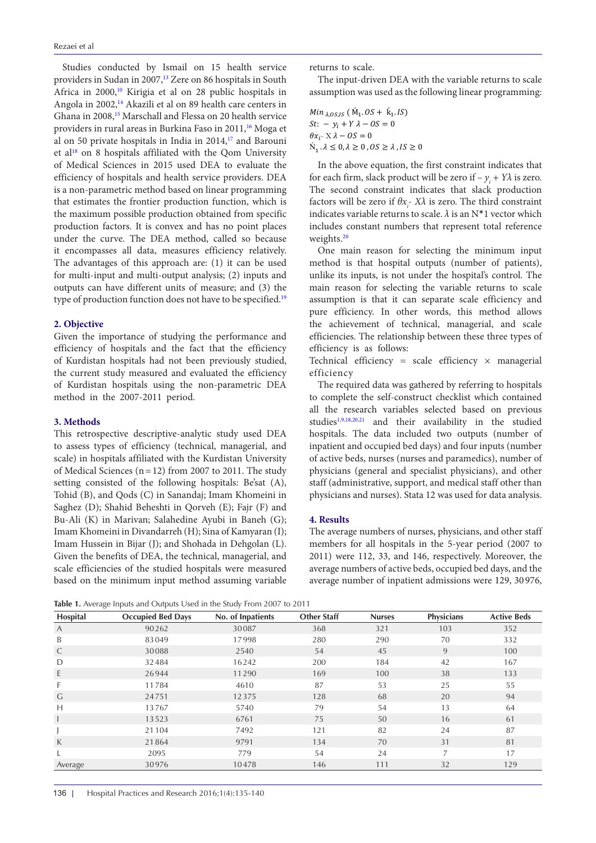Studies conducted by Ismail on 15 health service providers in Sudan in 2007,<sup>[13](#page-4-6)</sup> Zere on 86 hospitals in South Africa in 2000,<sup>[10](#page-4-7)</sup> Kirigia et al on 28 public hospitals in Angola in 2002,<sup>14</sup> Akazili et al on 89 health care centers in Ghana in 2008[,15](#page-5-0) Marschall and Flessa on 20 health service providers in rural areas in Burkina Faso in 2011,<sup>16</sup> Moga et al on 50 private hospitals in India in 2014,<sup>17</sup> and Barouni et al<sup>[18](#page-5-3)</sup> on 8 hospitals affiliated with the Qom University of Medical Sciences in 2015 used DEA to evaluate the efficiency of hospitals and health service providers. DEA is a non-parametric method based on linear programming that estimates the frontier production function, which is the maximum possible production obtained from specific production factors. It is convex and has no point places under the curve. The DEA method, called so because it encompasses all data, measures efficiency relatively. The advantages of this approach are: (1) it can be used for multi-input and multi-output analysis; (2) inputs and outputs can have different units of measure; and (3) the type of production function does not have to be specified.<sup>[19](#page-5-4)</sup>

#### **2. Objective**

Given the importance of studying the performance and efficiency of hospitals and the fact that the efficiency of Kurdistan hospitals had not been previously studied, the current study measured and evaluated the efficiency of Kurdistan hospitals using the non-parametric DEA method in the 2007-2011 period.

#### **3. Methods**

This retrospective descriptive-analytic study used DEA to assess types of efficiency (technical, managerial, and scale) in hospitals affiliated with the Kurdistan University of Medical Sciences ( $n=12$ ) from 2007 to 2011. The study setting consisted of the following hospitals: Be'sat (A), Tohid (B), and Qods (C) in Sanandaj; Imam Khomeini in Saghez (D); Shahid Beheshti in Qorveh (E); Fajr (F) and Bu-Ali (K) in Marivan; Salahedine Ayubi in Baneh (G); Imam Khomeini in Divandarreh (H); Sina of Kamyaran (I); Imam Hussein in Bijar (J); and Shohada in Dehgolan (L). Given the benefits of DEA, the technical, managerial, and scale efficiencies of the studied hospitals were measured based on the minimum input method assuming variable returns to scale.

The input-driven DEA with the variable returns to scale assumption was used as the following linear programming:

*Min*  $_{\lambda, 0.05, 1.5}$  ( $\dot{M}_1, 0.05 + \dot{k}_1, 1.5$ )  $St: - y_i + Y \lambda - OS = 0$  $\theta x_i$ - X  $\lambda - OS = 0$  $\dot{N}_1 \cdot \lambda \leq 0, \lambda \geq 0$ ,  $OS \geq \lambda$ ,  $IS \geq 0$ 

In the above equation, the first constraint indicates that for each firm, slack product will be zero if  $-y_i + Y\lambda$  is zero. The second constraint indicates that slack production factors will be zero if  $\theta x_i$ - X $\lambda$  is zero. The third constraint indicates variable returns to scale.  $\lambda$  is an N<sup>\*</sup>1 vector which includes constant numbers that represent total reference weights.[20](#page-5-5)

One main reason for selecting the minimum input method is that hospital outputs (number of patients), unlike its inputs, is not under the hospital's control. The main reason for selecting the variable returns to scale assumption is that it can separate scale efficiency and pure efficiency. In other words, this method allows the achievement of technical, managerial, and scale efficiencies. The relationship between these three types of efficiency is as follows:

Technical efficiency = scale efficiency  $\times$  managerial efficiency

The required data was gathered by referring to hospitals to complete the self-construct checklist which contained all the research variables selected based on previous studies<sup>[1,](#page-4-0)[9,](#page-4-9)[18,](#page-5-3)[20,](#page-5-5)[21](#page-5-6)</sup> and their availability in the studied hospitals. The data included two outputs (number of inpatient and occupied bed days) and four inputs (number of active beds, nurses (nurses and paramedics), number of physicians (general and specialist physicians), and other staff (administrative, support, and medical staff other than physicians and nurses). Stata 12 was used for data analysis.

#### **4. Results**

The average numbers of nurses, physicians, and other staff members for all hospitals in the 5-year period (2007 to 2011) were 112, 33, and 146, respectively. Moreover, the average numbers of active beds, occupied bed days, and the average number of inpatient admissions were 129, 30 976,

<span id="page-1-0"></span>**Table 1.** Average Inputs and Outputs Used in the Study From 2007 to 2011

| Hospital | <b>Occupied Bed Days</b> | No. of Inpatients | <b>Other Staff</b> | <b>Nurses</b> | <b>Physicians</b> | <b>Active Beds</b> |
|----------|--------------------------|-------------------|--------------------|---------------|-------------------|--------------------|
| A        | 90262                    | 30087             | 368                | 321           | 103               | 352                |
| B        | 83049                    | 17998             | 280                | 290           | 70                | 332                |
| C        | 30088                    | 2540              | 54                 | 45            | 9                 | 100                |
| D        | 32484                    | 16242             | 200                | 184           | 42                | 167                |
| E.       | 26944                    | 11290             | 169                | 100           | 38                | 133                |
| F.       | 11784                    | 4610              | 87                 | 53            | 25                | 55                 |
| G        | 24751                    | 12375             | 128                | 68            | 20                | 94                 |
| H        | 13767                    | 5740              | 79                 | 54            | 13                | 64                 |
|          | 13523                    | 6761              | 75                 | 50            | 16                | 61                 |
|          | 21104                    | 7492              | 121                | 82            | 24                | 87                 |
| K        | 21864                    | 9791              | 134                | 70            | 31                | 81                 |
|          | 2095                     | 779               | 54                 | 24            | $\overline{7}$    | 17                 |
| Average  | 30976                    | 10478             | 146                | 111           | 32                | 129                |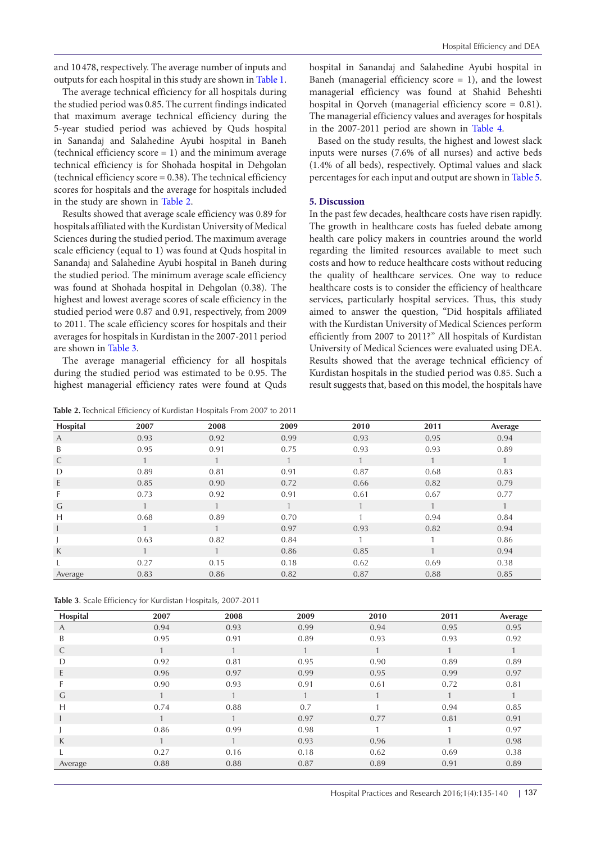and 10 478, respectively. The average number of inputs and outputs for each hospital in this study are shown in [Table 1](#page-1-0).

The average technical efficiency for all hospitals during the studied period was 0.85. The current findings indicated that maximum average technical efficiency during the 5-year studied period was achieved by Quds hospital in Sanandaj and Salahedine Ayubi hospital in Baneh (technical efficiency score  $= 1$ ) and the minimum average technical efficiency is for Shohada hospital in Dehgolan (technical efficiency score = 0.38). The technical efficiency scores for hospitals and the average for hospitals included in the study are shown in [Table 2.](#page-2-0)

Results showed that average scale efficiency was 0.89 for hospitals affiliated with the Kurdistan University of Medical Sciences during the studied period. The maximum average scale efficiency (equal to 1) was found at Quds hospital in Sanandaj and Salahedine Ayubi hospital in Baneh during the studied period. The minimum average scale efficiency was found at Shohada hospital in Dehgolan (0.38). The highest and lowest average scores of scale efficiency in the studied period were 0.87 and 0.91, respectively, from 2009 to 2011. The scale efficiency scores for hospitals and their averages for hospitals in Kurdistan in the 2007-2011 period are shown in [Table 3](#page-2-1).

The average managerial efficiency for all hospitals during the studied period was estimated to be 0.95. The highest managerial efficiency rates were found at Quds

<span id="page-2-0"></span>**Table 2.** Technical Efficiency of Kurdistan Hospitals From 2007 to 2011

hospital in Sanandaj and Salahedine Ayubi hospital in Baneh (managerial efficiency score  $= 1$ ), and the lowest managerial efficiency was found at Shahid Beheshti hospital in Qorveh (managerial efficiency score = 0.81). The managerial efficiency values and averages for hospitals in the 2007-2011 period are shown in [Table 4.](#page-3-0)

Based on the study results, the highest and lowest slack inputs were nurses (7.6% of all nurses) and active beds (1.4% of all beds), respectively. Optimal values and slack percentages for each input and output are shown in [Table 5](#page-3-1).

#### **5. Discussion**

In the past few decades, healthcare costs have risen rapidly. The growth in healthcare costs has fueled debate among health care policy makers in countries around the world regarding the limited resources available to meet such costs and how to reduce healthcare costs without reducing the quality of healthcare services. One way to reduce healthcare costs is to consider the efficiency of healthcare services, particularly hospital services. Thus, this study aimed to answer the question, "Did hospitals affiliated with the Kurdistan University of Medical Sciences perform efficiently from 2007 to 2011?" All hospitals of Kurdistan University of Medical Sciences were evaluated using DEA. Results showed that the average technical efficiency of Kurdistan hospitals in the studied period was 0.85. Such a result suggests that, based on this model, the hospitals have

| Hospital | 2007         | 2008 | 2009 | 2010 | 2011         | Average |
|----------|--------------|------|------|------|--------------|---------|
| A        | 0.93         | 0.92 | 0.99 | 0.93 | 0.95         | 0.94    |
| B        | 0.95         | 0.91 | 0.75 | 0.93 | 0.93         | 0.89    |
| C        | $\mathbf{1}$ |      |      |      | $\mathbf{1}$ |         |
| D        | 0.89         | 0.81 | 0.91 | 0.87 | 0.68         | 0.83    |
| E        | 0.85         | 0.90 | 0.72 | 0.66 | 0.82         | 0.79    |
| F.       | 0.73         | 0.92 | 0.91 | 0.61 | 0.67         | 0.77    |
| G        |              |      |      |      |              |         |
| Н        | 0.68         | 0.89 | 0.70 |      | 0.94         | 0.84    |
|          |              |      | 0.97 | 0.93 | 0.82         | 0.94    |
|          | 0.63         | 0.82 | 0.84 |      |              | 0.86    |
| K        |              |      | 0.86 | 0.85 |              | 0.94    |
|          | 0.27         | 0.15 | 0.18 | 0.62 | 0.69         | 0.38    |
| Average  | 0.83         | 0.86 | 0.82 | 0.87 | 0.88         | 0.85    |

<span id="page-2-1"></span>

| Table 3. Scale Efficiency for Kurdistan Hospitals, 2007-2011 |  |  |  |
|--------------------------------------------------------------|--|--|--|
|--------------------------------------------------------------|--|--|--|

| Hospital | 2007 | 2008 | 2009 | 2010 | 2011 | Average |
|----------|------|------|------|------|------|---------|
| A        | 0.94 | 0.93 | 0.99 | 0.94 | 0.95 | 0.95    |
| B        | 0.95 | 0.91 | 0.89 | 0.93 | 0.93 | 0.92    |
| C        |      |      | 1    |      | 1    |         |
| D        | 0.92 | 0.81 | 0.95 | 0.90 | 0.89 | 0.89    |
| E        | 0.96 | 0.97 | 0.99 | 0.95 | 0.99 | 0.97    |
| F        | 0.90 | 0.93 | 0.91 | 0.61 | 0.72 | 0.81    |
| G        | и    |      | 1    |      |      |         |
| Н        | 0.74 | 0.88 | 0.7  |      | 0.94 | 0.85    |
|          | 1    |      | 0.97 | 0.77 | 0.81 | 0.91    |
|          | 0.86 | 0.99 | 0.98 |      | и    | 0.97    |
| К        | и    |      | 0.93 | 0.96 |      | 0.98    |
|          | 0.27 | 0.16 | 0.18 | 0.62 | 0.69 | 0.38    |
| Average  | 0.88 | 0.88 | 0.87 | 0.89 | 0.91 | 0.89    |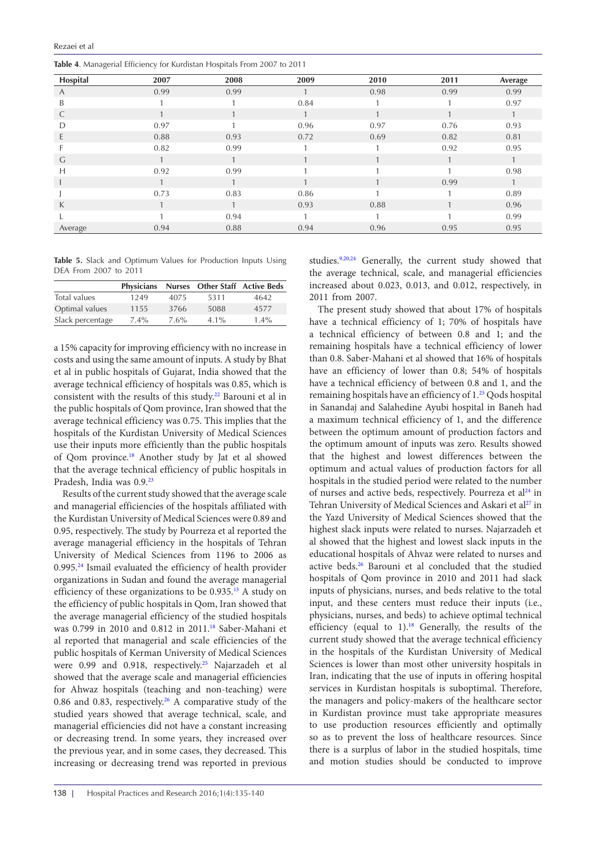<span id="page-3-0"></span>**Table 4**. Managerial Efficiency for Kurdistan Hospitals From 2007 to 2011

| $\circ$  |      |      |      |      |      |              |
|----------|------|------|------|------|------|--------------|
| Hospital | 2007 | 2008 | 2009 | 2010 | 2011 | Average      |
| A        | 0.99 | 0.99 |      | 0.98 | 0.99 | 0.99         |
| B        |      |      | 0.84 |      |      | 0.97         |
| C        |      |      |      |      |      | 1            |
| D        | 0.97 |      | 0.96 | 0.97 | 0.76 | 0.93         |
| E        | 0.88 | 0.93 | 0.72 | 0.69 | 0.82 | 0.81         |
|          | 0.82 | 0.99 |      |      | 0.92 | 0.95         |
| G        |      |      |      |      |      | $\mathbf{1}$ |
| Н        | 0.92 | 0.99 |      |      |      | 0.98         |
|          |      |      |      |      | 0.99 | 1            |
|          | 0.73 | 0.83 | 0.86 |      |      | 0.89         |
| K        |      |      | 0.93 | 0.88 |      | 0.96         |
|          | и    | 0.94 |      |      |      | 0.99         |
| Average  | 0.94 | 0.88 | 0.94 | 0.96 | 0.95 | 0.95         |

<span id="page-3-1"></span>**Table 5.** Slack and Optimum Values for Production Inputs Using DEA From 2007 to 2011

|                  | Physicians |      | Nurses Other Staff Active Beds |         |
|------------------|------------|------|--------------------------------|---------|
| Total values     | 1249       | 4075 | 5311                           | 4642    |
| Optimal values   | 1155       | 3766 | 5088                           | 4577    |
| Slack percentage | $7.4\%$    | 7.6% | $4.1\%$                        | $1.4\%$ |

a 15% capacity for improving efficiency with no increase in costs and using the same amount of inputs. A study by Bhat et al in public hospitals of Gujarat, India showed that the average technical efficiency of hospitals was 0.85, which is consistent with the results of this study[.22](#page-5-7) Barouni et al in the public hospitals of Qom province, Iran showed that the average technical efficiency was 0.75. This implies that the hospitals of the Kurdistan University of Medical Sciences use their inputs more efficiently than the public hospitals of Qom province.[18](#page-5-3) Another study by Jat et al showed that the average technical efficiency of public hospitals in Pradesh, India was 0.9.[23](#page-5-8)

Results of the current study showed that the average scale and managerial efficiencies of the hospitals affiliated with the Kurdistan University of Medical Sciences were 0.89 and 0.95, respectively. The study by Pourreza et al reported the average managerial efficiency in the hospitals of Tehran University of Medical Sciences from 1196 to 2006 as 0.995.[24](#page-5-9) Ismail evaluated the efficiency of health provider organizations in Sudan and found the average managerial efficiency of these organizations to be 0.935[.13](#page-4-6) A study on the efficiency of public hospitals in Qom, Iran showed that the average managerial efficiency of the studied hospitals was 0.799 in 2010 and 0.812 in 2011.<sup>[18](#page-5-3)</sup> Saber-Mahani et al reported that managerial and scale efficiencies of the public hospitals of Kerman University of Medical Sciences were 0.99 and 0.918, respectively.<sup>25</sup> Najarzadeh et al showed that the average scale and managerial efficiencies for Ahwaz hospitals (teaching and non-teaching) were 0.86 and 0.83, respectively.<sup>26</sup> A comparative study of the studied years showed that average technical, scale, and managerial efficiencies did not have a constant increasing or decreasing trend. In some years, they increased over the previous year, and in some cases, they decreased. This increasing or decreasing trend was reported in previous studies.<sup>9,[20,](#page-5-5)24</sup> Generally, the current study showed that the average technical, scale, and managerial efficiencies increased about 0.023, 0.013, and 0.012, respectively, in 2011 from 2007.

The present study showed that about 17% of hospitals have a technical efficiency of 1; 70% of hospitals have a technical efficiency of between 0.8 and 1; and the remaining hospitals have a technical efficiency of lower than 0.8. Saber-Mahani et al showed that 16% of hospitals have an efficiency of lower than 0.8; 54% of hospitals have a technical efficiency of between 0.8 and 1, and the remaining hospitals have an efficiency of 1.<sup>[25](#page-5-10)</sup> Qods hospital in Sanandaj and Salahedine Ayubi hospital in Baneh had a maximum technical efficiency of 1, and the difference between the optimum amount of production factors and the optimum amount of inputs was zero. Results showed that the highest and lowest differences between the optimum and actual values of production factors for all hospitals in the studied period were related to the number of nurses and active beds, respectively. Pourreza et al<sup>[24](#page-5-9)</sup> in Tehran University of Medical Sciences and Askari et al<sup>27</sup> in the Yazd University of Medical Sciences showed that the highest slack inputs were related to nurses. Najarzadeh et al showed that the highest and lowest slack inputs in the educational hospitals of Ahvaz were related to nurses and active beds[.26](#page-5-11) Barouni et al concluded that the studied hospitals of Qom province in 2010 and 2011 had slack inputs of physicians, nurses, and beds relative to the total input, and these centers must reduce their inputs (i.e., physicians, nurses, and beds) to achieve optimal technical efficiency (equal to 1).<sup>18</sup> Generally, the results of the current study showed that the average technical efficiency in the hospitals of the Kurdistan University of Medical Sciences is lower than most other university hospitals in Iran, indicating that the use of inputs in offering hospital services in Kurdistan hospitals is suboptimal. Therefore, the managers and policy-makers of the healthcare sector in Kurdistan province must take appropriate measures to use production resources efficiently and optimally so as to prevent the loss of healthcare resources. Since there is a surplus of labor in the studied hospitals, time and motion studies should be conducted to improve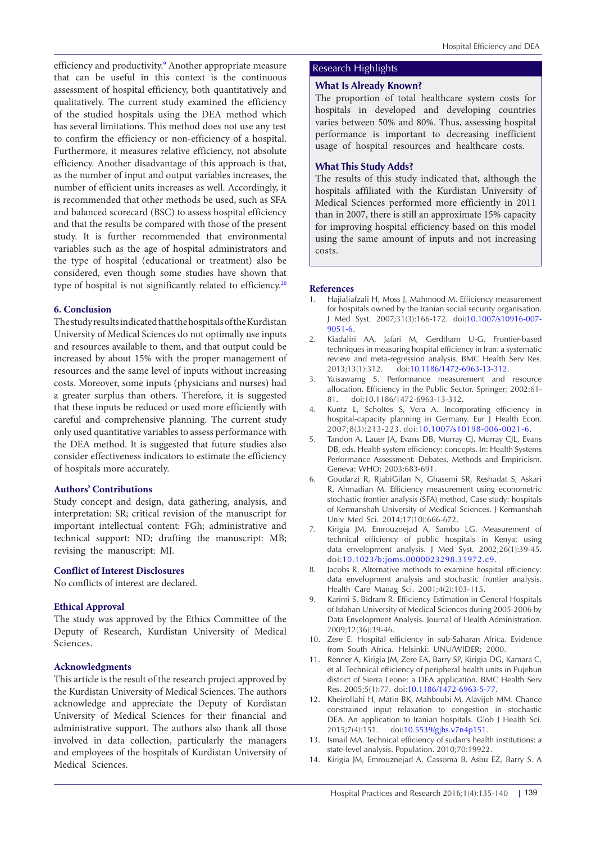efficiency and productivity.<sup>9</sup> Another appropriate measure that can be useful in this context is the continuous assessment of hospital efficiency, both quantitatively and qualitatively. The current study examined the efficiency of the studied hospitals using the DEA method which has several limitations. This method does not use any test to confirm the efficiency or non-efficiency of a hospital. Furthermore, it measures relative efficiency, not absolute efficiency. Another disadvantage of this approach is that, as the number of input and output variables increases, the number of efficient units increases as well. Accordingly, it is recommended that other methods be used, such as SFA and balanced scorecard (BSC) to assess hospital efficiency and that the results be compared with those of the present study. It is further recommended that environmental variables such as the age of hospital administrators and the type of hospital (educational or treatment) also be considered, even though some studies have shown that type of hospital is not significantly related to efficiency.<sup>[20](#page-5-5)</sup>

# **6. Conclusion**

The study results indicated that the hospitals of the Kurdistan University of Medical Sciences do not optimally use inputs and resources available to them, and that output could be increased by about 15% with the proper management of resources and the same level of inputs without increasing costs. Moreover, some inputs (physicians and nurses) had a greater surplus than others. Therefore, it is suggested that these inputs be reduced or used more efficiently with careful and comprehensive planning. The current study only used quantitative variables to assess performance with the DEA method. It is suggested that future studies also consider effectiveness indicators to estimate the efficiency of hospitals more accurately.

#### **Authors' Contributions**

Study concept and design, data gathering, analysis, and interpretation: SR; critical revision of the manuscript for important intellectual content: FGh; administrative and technical support: ND; drafting the manuscript: MB; revising the manuscript: MJ.

#### **Conflict of Interest Disclosures**

No conflicts of interest are declared.

# **Ethical Approval**

The study was approved by the Ethics Committee of the Deputy of Research, Kurdistan University of Medical Sciences.

#### **Acknowledgments**

This article is the result of the research project approved by the Kurdistan University of Medical Sciences. The authors acknowledge and appreciate the Deputy of Kurdistan University of Medical Sciences for their financial and administrative support. The authors also thank all those involved in data collection, particularly the managers and employees of the hospitals of Kurdistan University of Medical Sciences.

# Research Highlights

# **What Is Already Known?**

The proportion of total healthcare system costs for hospitals in developed and developing countries varies between 50% and 80%. Thus, assessing hospital performance is important to decreasing inefficient usage of hospital resources and healthcare costs.

# **What This Study Adds?**

The results of this study indicated that, although the hospitals affiliated with the Kurdistan University of Medical Sciences performed more efficiently in 2011 than in 2007, there is still an approximate 15% capacity for improving hospital efficiency based on this model using the same amount of inputs and not increasing costs.

#### **References**

- <span id="page-4-0"></span>1. Hajialiafzali H, Moss J, Mahmood M. Efficiency measurement for hospitals owned by the Iranian social security organisation. J Med Syst. 2007;31(3):166-172. doi[:10.1007/s10916-007-](http://dx.doi.org/10.1007/s10916-007-9051-6) [9051-6](http://dx.doi.org/10.1007/s10916-007-9051-6).
- 2. Kiadaliri AA, Jafari M, Gerdtham U-G. Frontier-based techniques in measuring hospital efficiency in Iran: a systematic review and meta-regression analysis. BMC Health Serv Res. 2013;13(1):312. doi:[10.1186/1472-6963-13-312.](http://dx.doi.org/10.1186/1472-6963-13-312)
- 3. Yaisawarng S. Performance measurement and resource allocation. Efficiency in the Public Sector. Springer; 2002:61- 81. doi:10.1186/1472-6963-13-312.
- <span id="page-4-1"></span>4. Kuntz L, Scholtes S, Vera A. Incorporating efficiency in hospital-capacity planning in Germany. Eur J Health Econ. 2007;8(3):213-223. doi:[10.1007/s10198-006-0021-6](http://dx.doi.org/10.1007/s10198-006-0021-6).
- <span id="page-4-2"></span>5. Tandon A, Lauer JA, Evans DB, Murray CJ. Murray CJL, Evans DB, eds. Health system efficiency: concepts. In: Health Systems Performance Assessment: Debates, Methods and Empiricism. Geneva: WHO; 2003:683-691.
- <span id="page-4-3"></span>6. Goudarzi R, RjabiGilan N, Ghasemi SR, Reshadat S, Askari R, Ahmadian M. Efficiency measurement using econometric stochastic frontier analysis (SFA) method, Case study: hospitals of Kermanshah University of Medical Sciences. J Kermanshah Univ Med Sci. 2014;17(10):666-672.
- <span id="page-4-4"></span>7. Kirigia JM, Emrouznejad A, Sambo LG. Measurement of technical efficiency of public hospitals in Kenya: using data envelopment analysis. J Med Syst. 2002;26(1):39-45. doi:[10.1023/b:joms.0000023298.31972.c9](http://dx.doi.org/10.1023/b:joms.0000023298.31972.c9).
- 8. Jacobs R. Alternative methods to examine hospital efficiency: data envelopment analysis and stochastic frontier analysis. Health Care Manag Sci. 2001;4(2):103-115.
- <span id="page-4-9"></span>9. Karimi S, Bidram R. Efficiency Estimation in General Hospitals of Isfahan University of Medical Sciences during 2005-2006 by Data Envelopment Analysis. Journal of Health Administration. 2009;12(36):39-46.
- <span id="page-4-7"></span>10. Zere E. Hospital efficiency in sub-Saharan Africa. Evidence from South Africa. Helsinki: UNU/WIDER; 2000.
- 11. Renner A, Kirigia JM, Zere EA, Barry SP, Kirigia DG, Kamara C, et al. Technical efficiency of peripheral health units in Pujehun district of Sierra Leone: a DEA application. BMC Health Serv Res. 2005;5(1):77. doi[:10.1186/1472-6963-5-77](http://dx.doi.org/10.1186/1472-6963-5-77).
- <span id="page-4-5"></span>12. Kheirollahi H, Matin BK, Mahboubi M, Alavijeh MM. Chance constrained input relaxation to congestion in stochastic DEA. An application to Iranian hospitals. Glob J Health Sci. 2015;7(4):151. doi:[10.5539/gjhs.v7n4p151.](http://dx.doi.org/10.5539/gjhs.v7n4p151)
- <span id="page-4-6"></span>13. Ismail MA. Technical efficiency of sudan's health institutions: a state-level analysis. Population. 2010;70:19922.
- <span id="page-4-8"></span>14. Kirigia JM, Emrouznejad A, Cassoma B, Asbu EZ, Barry S. A